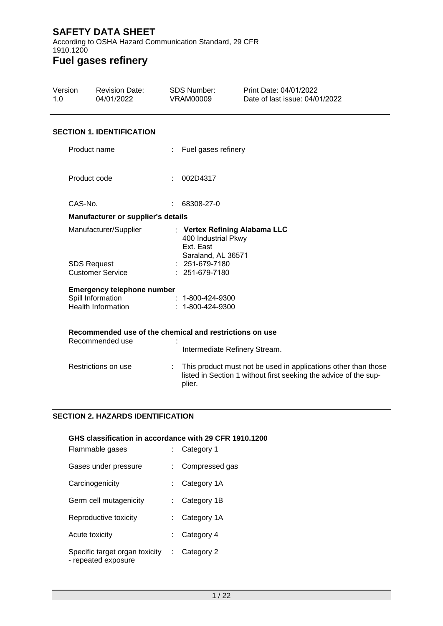According to OSHA Hazard Communication Standard, 29 CFR 1910.1200

### **Fuel gases refinery**

| Version<br>1.0                                | <b>Revision Date:</b><br>04/01/2022                                        | <b>SDS Number:</b><br><b>VRAM00009</b>                                     | Print Date: 04/01/2022<br>Date of last issue: 04/01/2022                                                                           |  |
|-----------------------------------------------|----------------------------------------------------------------------------|----------------------------------------------------------------------------|------------------------------------------------------------------------------------------------------------------------------------|--|
|                                               | <b>SECTION 1. IDENTIFICATION</b>                                           |                                                                            |                                                                                                                                    |  |
|                                               | Product name                                                               |                                                                            | Fuel gases refinery                                                                                                                |  |
|                                               | Product code                                                               | 002D4317                                                                   |                                                                                                                                    |  |
| CAS-No.                                       |                                                                            | 68308-27-0                                                                 |                                                                                                                                    |  |
|                                               | Manufacturer or supplier's details                                         |                                                                            |                                                                                                                                    |  |
|                                               | Manufacturer/Supplier                                                      | 400 Industrial Pkwy<br>Ext. East<br>Saraland, AL 36571<br>$: 251-679-7180$ | : Vertex Refining Alabama LLC                                                                                                      |  |
| <b>SDS Request</b><br><b>Customer Service</b> |                                                                            | : 251-679-7180                                                             |                                                                                                                                    |  |
|                                               | <b>Emergency telephone number</b>                                          |                                                                            |                                                                                                                                    |  |
|                                               | Spill Information<br><b>Health Information</b>                             | $: 1 - 800 - 424 - 9300$<br>$: 1 - 800 - 424 - 9300$                       |                                                                                                                                    |  |
|                                               | Recommended use of the chemical and restrictions on use<br>Recommended use |                                                                            |                                                                                                                                    |  |
|                                               |                                                                            |                                                                            | Intermediate Refinery Stream.                                                                                                      |  |
|                                               | Restrictions on use                                                        | plier.                                                                     | This product must not be used in applications other than those<br>listed in Section 1 without first seeking the advice of the sup- |  |

#### **SECTION 2. HAZARDS IDENTIFICATION**

# **GHS classification in accordance with 29 CFR 1910.1200** Flammable gases : Category 1 Gases under pressure : Compressed gas Carcinogenicity : Category 1A Germ cell mutagenicity : Category 1B Reproductive toxicity : Category 1A Acute toxicity **Example 20** access to Category 4 Specific target organ toxicity : Category 2- repeated exposure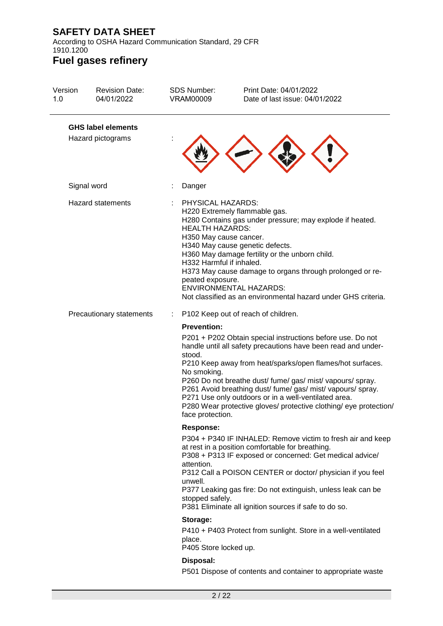According to OSHA Hazard Communication Standard, 29 CFR 1910.1200

| Version<br>1.0                                 | <b>Revision Date:</b><br>04/01/2022 | <b>SDS Number:</b><br><b>VRAM00009</b>                                                                                | Print Date: 04/01/2022<br>Date of last issue: 04/01/2022                                                                                                                                                                                                                                                                                                                                                                                           |
|------------------------------------------------|-------------------------------------|-----------------------------------------------------------------------------------------------------------------------|----------------------------------------------------------------------------------------------------------------------------------------------------------------------------------------------------------------------------------------------------------------------------------------------------------------------------------------------------------------------------------------------------------------------------------------------------|
| <b>GHS label elements</b><br>Hazard pictograms |                                     |                                                                                                                       |                                                                                                                                                                                                                                                                                                                                                                                                                                                    |
|                                                | Signal word                         | Danger                                                                                                                |                                                                                                                                                                                                                                                                                                                                                                                                                                                    |
| <b>Hazard statements</b>                       |                                     | PHYSICAL HAZARDS:<br><b>HEALTH HAZARDS:</b><br>H350 May cause cancer.<br>H332 Harmful if inhaled.<br>peated exposure. | H220 Extremely flammable gas.<br>H280 Contains gas under pressure; may explode if heated.<br>H340 May cause genetic defects.<br>H360 May damage fertility or the unborn child.<br>H373 May cause damage to organs through prolonged or re-<br><b>ENVIRONMENTAL HAZARDS:</b><br>Not classified as an environmental hazard under GHS criteria.                                                                                                       |
|                                                | Precautionary statements            | ÷                                                                                                                     | P102 Keep out of reach of children.                                                                                                                                                                                                                                                                                                                                                                                                                |
|                                                |                                     | <b>Prevention:</b><br>stood.<br>No smoking.<br>face protection.                                                       | P201 + P202 Obtain special instructions before use. Do not<br>handle until all safety precautions have been read and under-<br>P210 Keep away from heat/sparks/open flames/hot surfaces.<br>P260 Do not breathe dust/ fume/ gas/ mist/ vapours/ spray.<br>P261 Avoid breathing dust/ fume/ gas/ mist/ vapours/ spray.<br>P271 Use only outdoors or in a well-ventilated area.<br>P280 Wear protective gloves/ protective clothing/ eye protection/ |
|                                                |                                     | <b>Response:</b>                                                                                                      |                                                                                                                                                                                                                                                                                                                                                                                                                                                    |
|                                                |                                     | attention.<br>unwell.<br>stopped safely.                                                                              | P304 + P340 IF INHALED: Remove victim to fresh air and keep<br>at rest in a position comfortable for breathing.<br>P308 + P313 IF exposed or concerned: Get medical advice/<br>P312 Call a POISON CENTER or doctor/ physician if you feel<br>P377 Leaking gas fire: Do not extinguish, unless leak can be<br>P381 Eliminate all ignition sources if safe to do so.                                                                                 |
|                                                |                                     | Storage:<br>place.<br>P405 Store locked up.                                                                           | P410 + P403 Protect from sunlight. Store in a well-ventilated                                                                                                                                                                                                                                                                                                                                                                                      |
|                                                |                                     | Disposal:                                                                                                             |                                                                                                                                                                                                                                                                                                                                                                                                                                                    |
|                                                |                                     |                                                                                                                       | P501 Dispose of contents and container to appropriate waste                                                                                                                                                                                                                                                                                                                                                                                        |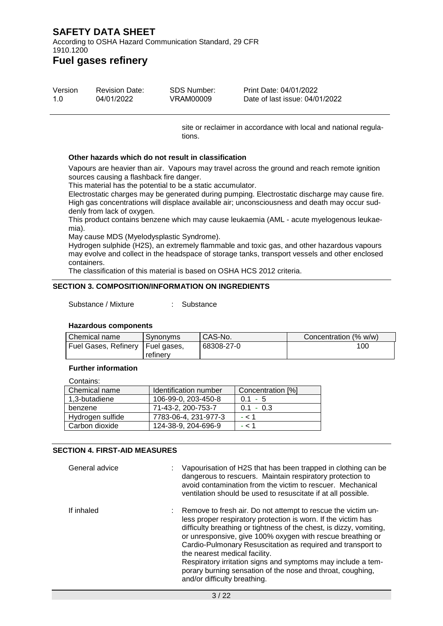According to OSHA Hazard Communication Standard, 29 CFR 1910.1200

### **Fuel gases refinery**

| Version | <b>Revision Date:</b> | SDS Number: | Print Date: 04/01/2022         |
|---------|-----------------------|-------------|--------------------------------|
| 1.O     | 04/01/2022            | VRAM00009   | Date of last issue: 04/01/2022 |

site or reclaimer in accordance with local and national regulations.

#### **Other hazards which do not result in classification**

Vapours are heavier than air. Vapours may travel across the ground and reach remote ignition sources causing a flashback fire danger.

This material has the potential to be a static accumulator.

Electrostatic charges may be generated during pumping. Electrostatic discharge may cause fire. High gas concentrations will displace available air; unconsciousness and death may occur suddenly from lack of oxygen.

This product contains benzene which may cause leukaemia (AML - acute myelogenous leukaemia).

May cause MDS (Myelodysplastic Syndrome).

Hydrogen sulphide (H2S), an extremely flammable and toxic gas, and other hazardous vapours may evolve and collect in the headspace of storage tanks, transport vessels and other enclosed containers.

The classification of this material is based on OSHA HCS 2012 criteria.

#### **SECTION 3. COMPOSITION/INFORMATION ON INGREDIENTS**

Substance / Mixture : Substance

#### **Hazardous components**

| Chemical name                      | Synonyms | CAS-No.    | Concentration (% w/w) |
|------------------------------------|----------|------------|-----------------------|
| Fuel Gases, Refinery   Fuel gases, |          | 68308-27-0 | 100                   |
|                                    | refinery |            |                       |

#### **Further information**

Contains:

| Identification number | Concentration [%] |
|-----------------------|-------------------|
| 106-99-0, 203-450-8   | $0.1 - 5$         |
| 71-43-2, 200-753-7    | $0.1 - 0.3$       |
| 7783-06-4, 231-977-3  | $- < 1$           |
| 124-38-9, 204-696-9   | - < 1             |
|                       |                   |

#### **SECTION 4. FIRST-AID MEASURES**

| General advice | Vapourisation of H2S that has been trapped in clothing can be<br>dangerous to rescuers. Maintain respiratory protection to<br>avoid contamination from the victim to rescuer. Mechanical<br>ventilation should be used to resuscitate if at all possible.                                                                                                                                                                                                                                                                          |
|----------------|------------------------------------------------------------------------------------------------------------------------------------------------------------------------------------------------------------------------------------------------------------------------------------------------------------------------------------------------------------------------------------------------------------------------------------------------------------------------------------------------------------------------------------|
| If inhaled     | : Remove to fresh air. Do not attempt to rescue the victim un-<br>less proper respiratory protection is worn. If the victim has<br>difficulty breathing or tightness of the chest, is dizzy, vomiting,<br>or unresponsive, give 100% oxygen with rescue breathing or<br>Cardio-Pulmonary Resuscitation as required and transport to<br>the nearest medical facility.<br>Respiratory irritation signs and symptoms may include a tem-<br>porary burning sensation of the nose and throat, coughing,<br>and/or difficulty breathing. |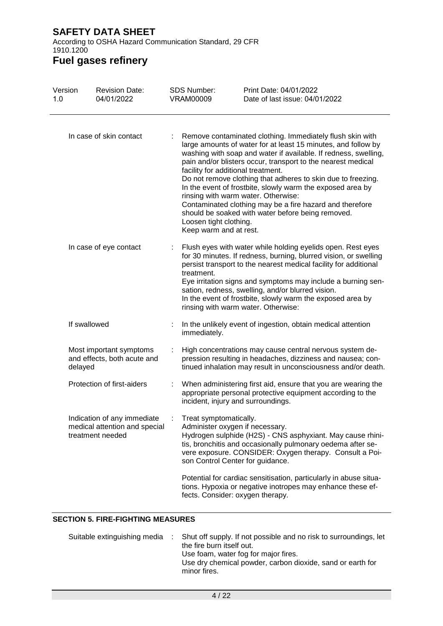According to OSHA Hazard Communication Standard, 29 CFR 1910.1200

### **Fuel gases refinery**

| Version<br>1.0 | <b>Revision Date:</b><br>04/01/2022                                              | <b>SDS Number:</b><br><b>VRAM00009</b>                                                        | Print Date: 04/01/2022<br>Date of last issue: 04/01/2022                                                                                                                                                                                                                                                                                                                                                                                                                                                                                            |
|----------------|----------------------------------------------------------------------------------|-----------------------------------------------------------------------------------------------|-----------------------------------------------------------------------------------------------------------------------------------------------------------------------------------------------------------------------------------------------------------------------------------------------------------------------------------------------------------------------------------------------------------------------------------------------------------------------------------------------------------------------------------------------------|
|                | In case of skin contact                                                          | facility for additional treatment.<br>Loosen tight clothing.<br>Keep warm and at rest.        | Remove contaminated clothing. Immediately flush skin with<br>large amounts of water for at least 15 minutes, and follow by<br>washing with soap and water if available. If redness, swelling,<br>pain and/or blisters occur, transport to the nearest medical<br>Do not remove clothing that adheres to skin due to freezing.<br>In the event of frostbite, slowly warm the exposed area by<br>rinsing with warm water. Otherwise:<br>Contaminated clothing may be a fire hazard and therefore<br>should be soaked with water before being removed. |
|                | In case of eye contact                                                           | treatment.                                                                                    | Flush eyes with water while holding eyelids open. Rest eyes<br>for 30 minutes. If redness, burning, blurred vision, or swelling<br>persist transport to the nearest medical facility for additional<br>Eye irritation signs and symptoms may include a burning sen-<br>sation, redness, swelling, and/or blurred vision.<br>In the event of frostbite, slowly warm the exposed area by<br>rinsing with warm water. Otherwise:                                                                                                                       |
|                | If swallowed                                                                     | immediately.                                                                                  | In the unlikely event of ingestion, obtain medical attention                                                                                                                                                                                                                                                                                                                                                                                                                                                                                        |
|                | Most important symptoms<br>and effects, both acute and<br>delayed                |                                                                                               | High concentrations may cause central nervous system de-<br>pression resulting in headaches, dizziness and nausea; con-<br>tinued inhalation may result in unconsciousness and/or death.                                                                                                                                                                                                                                                                                                                                                            |
|                | Protection of first-aiders                                                       | incident, injury and surroundings.                                                            | When administering first aid, ensure that you are wearing the<br>appropriate personal protective equipment according to the                                                                                                                                                                                                                                                                                                                                                                                                                         |
|                | Indication of any immediate<br>medical attention and special<br>treatment needed | Treat symptomatically.<br>Administer oxygen if necessary.<br>son Control Center for guidance. | Hydrogen sulphide (H2S) - CNS asphyxiant. May cause rhini-<br>tis, bronchitis and occasionally pulmonary oedema after se-<br>vere exposure. CONSIDER: Oxygen therapy. Consult a Poi-                                                                                                                                                                                                                                                                                                                                                                |
|                |                                                                                  | fects. Consider: oxygen therapy.                                                              | Potential for cardiac sensitisation, particularly in abuse situa-<br>tions. Hypoxia or negative inotropes may enhance these ef-                                                                                                                                                                                                                                                                                                                                                                                                                     |

### **SECTION 5. FIRE-FIGHTING MEASURES**

|  | Suitable extinguishing media : Shut off supply. If not possible and no risk to surroundings, let<br>the fire burn itself out.<br>Use foam, water fog for major fires. |
|--|-----------------------------------------------------------------------------------------------------------------------------------------------------------------------|
|  | Use dry chemical powder, carbon dioxide, sand or earth for<br>minor fires.                                                                                            |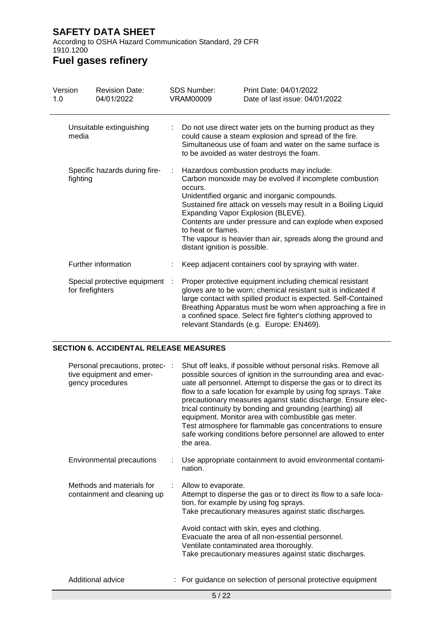According to OSHA Hazard Communication Standard, 29 CFR 1910.1200

### **Fuel gases refinery**

| Version<br>1.0                            | <b>Revision Date:</b><br>04/01/2022              | <b>SDS Number:</b><br>VRAM00009                                | Print Date: 04/01/2022<br>Date of last issue: 04/01/2022                                                                                                                                                                                                                                                                                                                                    |
|-------------------------------------------|--------------------------------------------------|----------------------------------------------------------------|---------------------------------------------------------------------------------------------------------------------------------------------------------------------------------------------------------------------------------------------------------------------------------------------------------------------------------------------------------------------------------------------|
|                                           | Unsuitable extinguishing<br>media                |                                                                | Do not use direct water jets on the burning product as they<br>could cause a steam explosion and spread of the fire.<br>Simultaneous use of foam and water on the same surface is<br>to be avoided as water destroys the foam.                                                                                                                                                              |
| Specific hazards during fire-<br>fighting |                                                  | occurs.<br>to heat or flames.<br>distant ignition is possible. | Hazardous combustion products may include:<br>Carbon monoxide may be evolved if incomplete combustion<br>Unidentified organic and inorganic compounds.<br>Sustained fire attack on vessels may result in a Boiling Liquid<br>Expanding Vapor Explosion (BLEVE).<br>Contents are under pressure and can explode when exposed<br>The vapour is heavier than air, spreads along the ground and |
|                                           | Further information                              |                                                                | Keep adjacent containers cool by spraying with water.                                                                                                                                                                                                                                                                                                                                       |
|                                           | Special protective equipment<br>for firefighters |                                                                | Proper protective equipment including chemical resistant<br>gloves are to be worn; chemical resistant suit is indicated if<br>large contact with spilled product is expected. Self-Contained<br>Breathing Apparatus must be worn when approaching a fire in<br>a confined space. Select fire fighter's clothing approved to<br>relevant Standards (e.g. Europe: EN469).                     |

#### **SECTION 6. ACCIDENTAL RELEASE MEASURES**

| 5/22                                                                            |   |                                                                                                                                                                                                                                                                                                                                                                                                                                                                                                                                                                                                        |  |
|---------------------------------------------------------------------------------|---|--------------------------------------------------------------------------------------------------------------------------------------------------------------------------------------------------------------------------------------------------------------------------------------------------------------------------------------------------------------------------------------------------------------------------------------------------------------------------------------------------------------------------------------------------------------------------------------------------------|--|
| Additional advice                                                               |   | For guidance on selection of personal protective equipment                                                                                                                                                                                                                                                                                                                                                                                                                                                                                                                                             |  |
|                                                                                 |   | Avoid contact with skin, eyes and clothing.<br>Evacuate the area of all non-essential personnel.<br>Ventilate contaminated area thoroughly.<br>Take precautionary measures against static discharges.                                                                                                                                                                                                                                                                                                                                                                                                  |  |
| Methods and materials for<br>containment and cleaning up                        | ÷ | Allow to evaporate.<br>Attempt to disperse the gas or to direct its flow to a safe loca-<br>tion, for example by using fog sprays.<br>Take precautionary measures against static discharges.                                                                                                                                                                                                                                                                                                                                                                                                           |  |
| Environmental precautions                                                       |   | Use appropriate containment to avoid environmental contami-<br>nation.                                                                                                                                                                                                                                                                                                                                                                                                                                                                                                                                 |  |
| Personal precautions, protec- :<br>tive equipment and emer-<br>gency procedures |   | Shut off leaks, if possible without personal risks. Remove all<br>possible sources of ignition in the surrounding area and evac-<br>uate all personnel. Attempt to disperse the gas or to direct its<br>flow to a safe location for example by using fog sprays. Take<br>precautionary measures against static discharge. Ensure elec-<br>trical continuity by bonding and grounding (earthing) all<br>equipment. Monitor area with combustible gas meter.<br>Test atmosphere for flammable gas concentrations to ensure<br>safe working conditions before personnel are allowed to enter<br>the area. |  |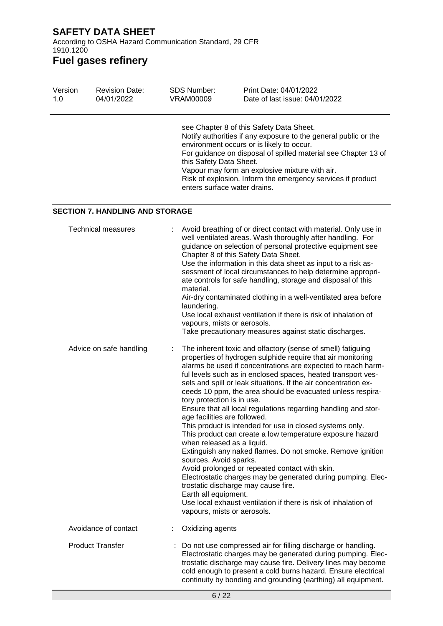According to OSHA Hazard Communication Standard, 29 CFR 1910.1200

| Version<br>1.0 | <b>Revision Date:</b><br>04/01/2022    | <b>SDS Number:</b><br><b>VRAM00009</b>                                       | Print Date: 04/01/2022<br>Date of last issue: 04/01/2022                                                                                                                                                                                                                                                                                                                                                                                                                                                                                                                                                                                                                                                                                                                                                                                                                                                                                                                      |
|----------------|----------------------------------------|------------------------------------------------------------------------------|-------------------------------------------------------------------------------------------------------------------------------------------------------------------------------------------------------------------------------------------------------------------------------------------------------------------------------------------------------------------------------------------------------------------------------------------------------------------------------------------------------------------------------------------------------------------------------------------------------------------------------------------------------------------------------------------------------------------------------------------------------------------------------------------------------------------------------------------------------------------------------------------------------------------------------------------------------------------------------|
|                |                                        | this Safety Data Sheet.                                                      | see Chapter 8 of this Safety Data Sheet.<br>Notify authorities if any exposure to the general public or the<br>environment occurs or is likely to occur.<br>For guidance on disposal of spilled material see Chapter 13 of<br>Vapour may form an explosive mixture with air.<br>Risk of explosion. Inform the emergency services if product<br>enters surface water drains.                                                                                                                                                                                                                                                                                                                                                                                                                                                                                                                                                                                                   |
|                | <b>SECTION 7. HANDLING AND STORAGE</b> |                                                                              |                                                                                                                                                                                                                                                                                                                                                                                                                                                                                                                                                                                                                                                                                                                                                                                                                                                                                                                                                                               |
|                | <b>Technical measures</b>              | material.<br>laundering.                                                     | Avoid breathing of or direct contact with material. Only use in<br>well ventilated areas. Wash thoroughly after handling. For<br>guidance on selection of personal protective equipment see<br>Chapter 8 of this Safety Data Sheet.<br>Use the information in this data sheet as input to a risk as-<br>sessment of local circumstances to help determine appropri-<br>ate controls for safe handling, storage and disposal of this<br>Air-dry contaminated clothing in a well-ventilated area before<br>Use local exhaust ventilation if there is risk of inhalation of<br>vapours, mists or aerosols.<br>Take precautionary measures against static discharges.                                                                                                                                                                                                                                                                                                             |
|                | Advice on safe handling                | tory protection is in use.<br>sources. Avoid sparks.<br>Earth all equipment. | The inherent toxic and olfactory (sense of smell) fatiguing<br>properties of hydrogen sulphide require that air monitoring<br>alarms be used if concentrations are expected to reach harm-<br>ful levels such as in enclosed spaces, heated transport ves-<br>sels and spill or leak situations. If the air concentration ex-<br>ceeds 10 ppm, the area should be evacuated unless respira-<br>Ensure that all local regulations regarding handling and stor-<br>age facilities are followed.<br>This product is intended for use in closed systems only.<br>This product can create a low temperature exposure hazard<br>when released as a liquid.<br>Extinguish any naked flames. Do not smoke. Remove ignition<br>Avoid prolonged or repeated contact with skin.<br>Electrostatic charges may be generated during pumping. Elec-<br>trostatic discharge may cause fire.<br>Use local exhaust ventilation if there is risk of inhalation of<br>vapours, mists or aerosols. |
|                | Avoidance of contact                   | Oxidizing agents                                                             |                                                                                                                                                                                                                                                                                                                                                                                                                                                                                                                                                                                                                                                                                                                                                                                                                                                                                                                                                                               |
|                | <b>Product Transfer</b>                |                                                                              | Do not use compressed air for filling discharge or handling.<br>Electrostatic charges may be generated during pumping. Elec-<br>trostatic discharge may cause fire. Delivery lines may become<br>cold enough to present a cold burns hazard. Ensure electrical<br>continuity by bonding and grounding (earthing) all equipment.                                                                                                                                                                                                                                                                                                                                                                                                                                                                                                                                                                                                                                               |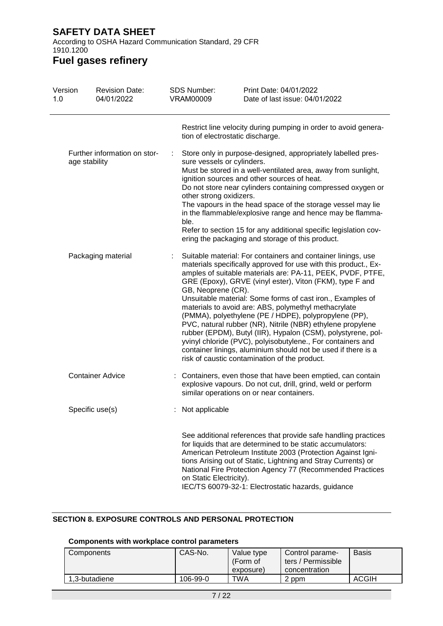According to OSHA Hazard Communication Standard, 29 CFR 1910.1200

### **Fuel gases refinery**

| Version<br>1.0                                | <b>Revision Date:</b><br>04/01/2022 | <b>SDS Number:</b><br><b>VRAM00009</b>                             | Print Date: 04/01/2022<br>Date of last issue: 04/01/2022                                                                                                                                                                                                                                                                                                                                                                                                                                                                                                                                                                                                                                                                                                |
|-----------------------------------------------|-------------------------------------|--------------------------------------------------------------------|---------------------------------------------------------------------------------------------------------------------------------------------------------------------------------------------------------------------------------------------------------------------------------------------------------------------------------------------------------------------------------------------------------------------------------------------------------------------------------------------------------------------------------------------------------------------------------------------------------------------------------------------------------------------------------------------------------------------------------------------------------|
|                                               |                                     |                                                                    | Restrict line velocity during pumping in order to avoid genera-<br>tion of electrostatic discharge.                                                                                                                                                                                                                                                                                                                                                                                                                                                                                                                                                                                                                                                     |
| Further information on stor-<br>age stability |                                     | ÷<br>sure vessels or cylinders.<br>other strong oxidizers.<br>ble. | Store only in purpose-designed, appropriately labelled pres-<br>Must be stored in a well-ventilated area, away from sunlight,<br>ignition sources and other sources of heat.<br>Do not store near cylinders containing compressed oxygen or<br>The vapours in the head space of the storage vessel may lie<br>in the flammable/explosive range and hence may be flamma-<br>Refer to section 15 for any additional specific legislation cov-<br>ering the packaging and storage of this product.                                                                                                                                                                                                                                                         |
|                                               | Packaging material                  | GB, Neoprene (CR).                                                 | Suitable material: For containers and container linings, use<br>materials specifically approved for use with this product., Ex-<br>amples of suitable materials are: PA-11, PEEK, PVDF, PTFE,<br>GRE (Epoxy), GRVE (vinyl ester), Viton (FKM), type F and<br>Unsuitable material: Some forms of cast iron., Examples of<br>materials to avoid are: ABS, polymethyl methacrylate<br>(PMMA), polyethylene (PE / HDPE), polypropylene (PP),<br>PVC, natural rubber (NR), Nitrile (NBR) ethylene propylene<br>rubber (EPDM), Butyl (IIR), Hypalon (CSM), polystyrene, pol-<br>yvinyl chloride (PVC), polyisobutylene., For containers and<br>container linings, aluminium should not be used if there is a<br>risk of caustic contamination of the product. |
|                                               | <b>Container Advice</b>             |                                                                    | Containers, even those that have been emptied, can contain<br>explosive vapours. Do not cut, drill, grind, weld or perform<br>similar operations on or near containers.                                                                                                                                                                                                                                                                                                                                                                                                                                                                                                                                                                                 |
|                                               | Specific use(s)                     | Not applicable                                                     |                                                                                                                                                                                                                                                                                                                                                                                                                                                                                                                                                                                                                                                                                                                                                         |
|                                               |                                     | on Static Electricity).                                            | See additional references that provide safe handling practices<br>for liquids that are determined to be static accumulators:<br>American Petroleum Institute 2003 (Protection Against Igni-<br>tions Arising out of Static, Lightning and Stray Currents) or<br>National Fire Protection Agency 77 (Recommended Practices<br>IEC/TS 60079-32-1: Electrostatic hazards, guidance                                                                                                                                                                                                                                                                                                                                                                         |

### **SECTION 8. EXPOSURE CONTROLS AND PERSONAL PROTECTION**

#### **Components with workplace control parameters**

| Components    | CAS-No.  | Value type<br>(Form of<br>exposure) | Control parame-<br>ters / Permissible<br>concentration | <b>Basis</b> |
|---------------|----------|-------------------------------------|--------------------------------------------------------|--------------|
| 1.3-butadiene | 106-99-0 | TWA                                 | 2 ppm                                                  | <b>ACGIH</b> |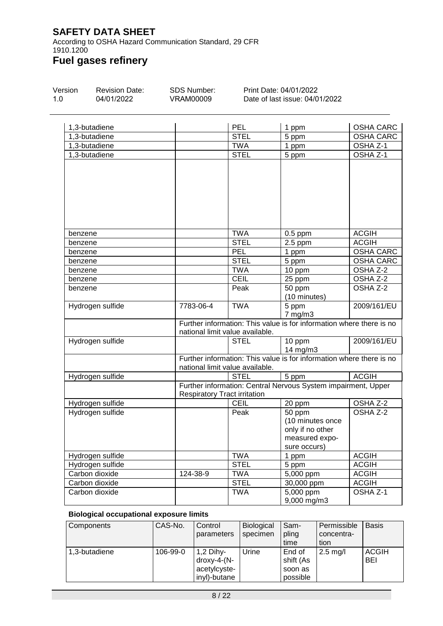According to OSHA Hazard Communication Standard, 29 CFR 1910.1200

## **Fuel gases refinery**

| Version | <b>Revision Date:</b> | SDS Number: |            | Print Date: 04/01/2022         |                  |  |  |
|---------|-----------------------|-------------|------------|--------------------------------|------------------|--|--|
| 1.0     | 04/01/2022            | VRAM00009   |            | Date of last issue: 04/01/2022 |                  |  |  |
|         | 1,3-butadiene         |             | <b>PFI</b> | ppm                            | <b>OSHA CARC</b> |  |  |

|                  |                                     |                                 | ייי די                                                               |                     |
|------------------|-------------------------------------|---------------------------------|----------------------------------------------------------------------|---------------------|
| 1,3-butadiene    |                                     | <b>STEL</b>                     | 5 ppm                                                                | <b>OSHA CARC</b>    |
| 1,3-butadiene    |                                     | <b>TWA</b>                      | 1 ppm                                                                | OSHA Z-1            |
| 1,3-butadiene    |                                     | <b>STEL</b>                     | 5 ppm                                                                | OSHA <sub>Z-1</sub> |
|                  |                                     |                                 |                                                                      |                     |
|                  |                                     |                                 |                                                                      |                     |
|                  |                                     |                                 |                                                                      |                     |
|                  |                                     |                                 |                                                                      |                     |
|                  |                                     |                                 |                                                                      |                     |
|                  |                                     |                                 |                                                                      |                     |
|                  |                                     |                                 |                                                                      |                     |
|                  |                                     |                                 |                                                                      |                     |
| benzene          |                                     | <b>TWA</b>                      | $0.5$ ppm                                                            | <b>ACGIH</b>        |
| benzene          |                                     | <b>STEL</b>                     | $2.5$ ppm                                                            | <b>ACGIH</b>        |
| benzene          |                                     | PEL                             | 1 ppm                                                                | <b>OSHA CARC</b>    |
| benzene          |                                     | <b>STEL</b>                     | 5 ppm                                                                | <b>OSHA CARC</b>    |
| benzene          |                                     | <b>TWA</b>                      | 10 ppm                                                               | OSHA Z-2            |
| benzene          |                                     | <b>CEIL</b>                     | 25 ppm                                                               | OSHA Z-2            |
| benzene          |                                     | Peak                            | 50 ppm                                                               | OSHA Z-2            |
|                  |                                     |                                 | (10 minutes)                                                         |                     |
| Hydrogen sulfide | 7783-06-4                           | <b>TWA</b>                      | 5 ppm                                                                | 2009/161/EU         |
|                  |                                     |                                 | $7$ mg/m $3$                                                         |                     |
|                  |                                     |                                 | Further information: This value is for information where there is no |                     |
|                  |                                     | national limit value available. |                                                                      |                     |
| Hydrogen sulfide |                                     | <b>STEL</b>                     | 10 ppm                                                               | 2009/161/EU         |
|                  |                                     |                                 | 14 mg/m3                                                             |                     |
|                  |                                     |                                 | Further information: This value is for information where there is no |                     |
|                  |                                     | national limit value available. |                                                                      |                     |
| Hydrogen sulfide |                                     | <b>STEL</b>                     | 5 ppm                                                                | <b>ACGIH</b>        |
|                  |                                     |                                 | Further information: Central Nervous System impairment, Upper        |                     |
|                  | <b>Respiratory Tract irritation</b> |                                 |                                                                      |                     |
| Hydrogen sulfide |                                     | <b>CEIL</b>                     | 20 ppm                                                               | OSHA Z-2            |
| Hydrogen sulfide |                                     | Peak                            | 50 ppm                                                               | OSHA Z-2            |
|                  |                                     |                                 | (10 minutes once                                                     |                     |
|                  |                                     |                                 | only if no other                                                     |                     |
|                  |                                     |                                 | measured expo-                                                       |                     |
|                  |                                     |                                 | sure occurs)                                                         |                     |
| Hydrogen sulfide |                                     | <b>TWA</b>                      | 1 ppm                                                                | <b>ACGIH</b>        |
| Hydrogen sulfide |                                     | <b>STEL</b>                     | 5 ppm                                                                | <b>ACGIH</b>        |
| Carbon dioxide   | 124-38-9                            | <b>TWA</b>                      | $5,000$ ppm                                                          | <b>ACGIH</b>        |
| Carbon dioxide   |                                     | <b>STEL</b>                     | 30,000 ppm                                                           | <b>ACGIH</b>        |
| Carbon dioxide   |                                     | <b>TWA</b>                      | 5,000 ppm                                                            | OSHA <sub>Z-1</sub> |
|                  |                                     |                                 | 9,000 mg/m3                                                          |                     |

#### **Biological occupational exposure limits**

| Components    | CAS-No.  | Control                        | <b>Biological</b> | Sam-      | Permissible        | <b>Basis</b> |
|---------------|----------|--------------------------------|-------------------|-----------|--------------------|--------------|
|               |          | parameters                     | specimen          | pling     | concentra-         |              |
|               |          |                                |                   | time      | tion               |              |
| 1,3-butadiene | 106-99-0 | $1,2$ Dihy-                    | Urine             | End of    | $2.5 \text{ mg/l}$ | <b>ACGIH</b> |
|               |          | $\frac{divx - 4 - (N - 1)}{2}$ |                   | shift (As |                    | <b>BEI</b>   |
|               |          | acetylcyste-                   |                   | soon as   |                    |              |
|               |          | invl)-butane                   |                   | possible  |                    |              |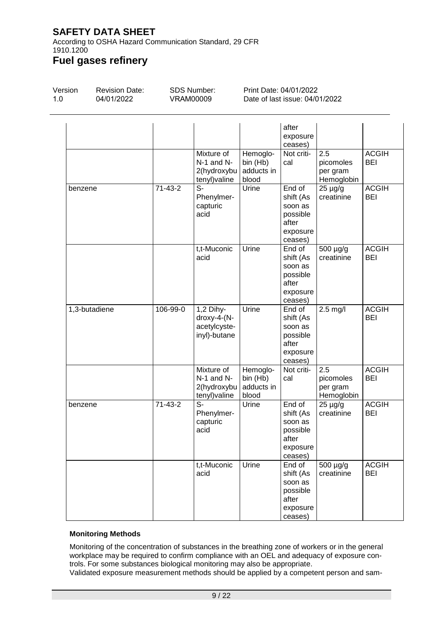According to OSHA Hazard Communication Standard, 29 CFR 1910.1200

### **Fuel gases refinery**

| Version | <b>Revision Date:</b> | SDS Number: | Print Date: 04/01/2022         |
|---------|-----------------------|-------------|--------------------------------|
| 1.0     | 04/01/2022            | VRAM00009   | Date of last issue: 04/01/2022 |
|         |                       |             | after<br>exposure<br>000000    |

|               |           |                                                             |                                             | ceases)                                                                    |                                            |                            |
|---------------|-----------|-------------------------------------------------------------|---------------------------------------------|----------------------------------------------------------------------------|--------------------------------------------|----------------------------|
|               |           | Mixture of<br>N-1 and N-<br>2(hydroxybu<br>tenyl) valine    | Hemoglo-<br>bin (Hb)<br>adducts in<br>blood | Not criti-<br>cal                                                          | 2.5<br>picomoles<br>per gram<br>Hemoglobin | <b>ACGIH</b><br><b>BEI</b> |
| benzene       | $71-43-2$ | $\overline{\mathbb{S}^-}$<br>Phenylmer-<br>capturic<br>acid | Urine                                       | End of<br>shift (As<br>soon as<br>possible<br>after<br>exposure<br>ceases) | $25 \mu g/g$<br>creatinine                 | <b>ACGIH</b><br><b>BEI</b> |
|               |           | t,t-Muconic<br>acid                                         | Urine                                       | End of<br>shift (As<br>soon as<br>possible<br>after<br>exposure<br>ceases) | 500 µg/g<br>creatinine                     | <b>ACGIH</b><br><b>BEI</b> |
| 1,3-butadiene | 106-99-0  | $1,2$ Dihy-<br>droxy-4-(N-<br>acetylcyste-<br>inyl)-butane  | Urine                                       | End of<br>shift (As<br>soon as<br>possible<br>after<br>exposure<br>ceases) | $2.5$ mg/l                                 | <b>ACGIH</b><br><b>BEI</b> |
|               |           | Mixture of<br>N-1 and N-<br>2(hydroxybu<br>tenyl) valine    | Hemoglo-<br>bin (Hb)<br>adducts in<br>blood | Not criti-<br>cal                                                          | 2.5<br>picomoles<br>per gram<br>Hemoglobin | <b>ACGIH</b><br><b>BEI</b> |
| benzene       | $71-43-2$ | $\overline{\mathsf{S}}$ -<br>Phenylmer-<br>capturic<br>acid | Urine                                       | End of<br>shift (As<br>soon as<br>possible<br>after<br>exposure<br>ceases) | $25 \mu g/g$<br>creatinine                 | <b>ACGIH</b><br><b>BEI</b> |
|               |           | t,t-Muconic<br>acid                                         | Urine                                       | End of<br>shift (As<br>soon as<br>possible<br>after<br>exposure<br>ceases) | $\frac{1}{500}$ µg/g<br>creatinine         | <b>ACGIH</b><br><b>BEI</b> |

### **Monitoring Methods**

Monitoring of the concentration of substances in the breathing zone of workers or in the general workplace may be required to confirm compliance with an OEL and adequacy of exposure controls. For some substances biological monitoring may also be appropriate.

Validated exposure measurement methods should be applied by a competent person and sam-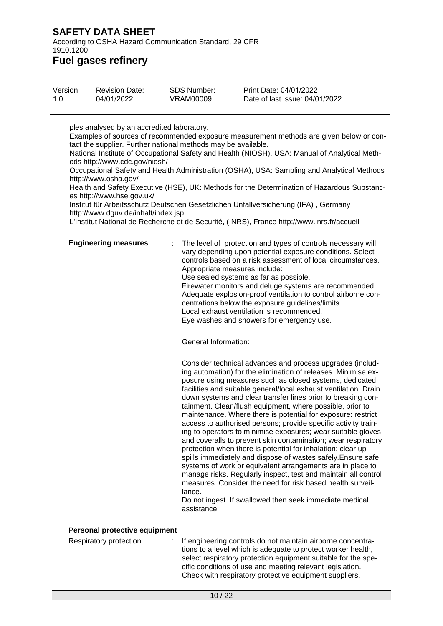According to OSHA Hazard Communication Standard, 29 CFR 1910.1200

### **Fuel gases refinery**

| Version | <b>Revision Date:</b> | SDS Number: | Print Date: 04/01/2022         |
|---------|-----------------------|-------------|--------------------------------|
| 1.0     | 04/01/2022            | VRAM00009   | Date of last issue: 04/01/2022 |

ples analysed by an accredited laboratory.

Examples of sources of recommended exposure measurement methods are given below or contact the supplier. Further national methods may be available.

National Institute of Occupational Safety and Health (NIOSH), USA: Manual of Analytical Methods http://www.cdc.gov/niosh/

Occupational Safety and Health Administration (OSHA), USA: Sampling and Analytical Methods http://www.osha.gov/

Health and Safety Executive (HSE), UK: Methods for the Determination of Hazardous Substances http://www.hse.gov.uk/

Institut für Arbeitsschutz Deutschen Gesetzlichen Unfallversicherung (IFA) , Germany http://www.dguv.de/inhalt/index.jsp

L'Institut National de Recherche et de Securité, (INRS), France http://www.inrs.fr/accueil

**Engineering measures** : The level of protection and types of controls necessary will vary depending upon potential exposure conditions. Select controls based on a risk assessment of local circumstances. Appropriate measures include: Use sealed systems as far as possible. Firewater monitors and deluge systems are recommended. Adequate explosion-proof ventilation to control airborne concentrations below the exposure guidelines/limits.

Local exhaust ventilation is recommended.

Eye washes and showers for emergency use.

General Information:

Consider technical advances and process upgrades (including automation) for the elimination of releases. Minimise exposure using measures such as closed systems, dedicated facilities and suitable general/local exhaust ventilation. Drain down systems and clear transfer lines prior to breaking containment. Clean/flush equipment, where possible, prior to maintenance. Where there is potential for exposure: restrict access to authorised persons; provide specific activity training to operators to minimise exposures; wear suitable gloves and coveralls to prevent skin contamination; wear respiratory protection when there is potential for inhalation; clear up spills immediately and dispose of wastes safely.Ensure safe systems of work or equivalent arrangements are in place to manage risks. Regularly inspect, test and maintain all control measures. Consider the need for risk based health surveillance.

Do not ingest. If swallowed then seek immediate medical assistance

#### **Personal protective equipment**

Respiratory protection : If engineering controls do not maintain airborne concentrations to a level which is adequate to protect worker health, select respiratory protection equipment suitable for the specific conditions of use and meeting relevant legislation. Check with respiratory protective equipment suppliers.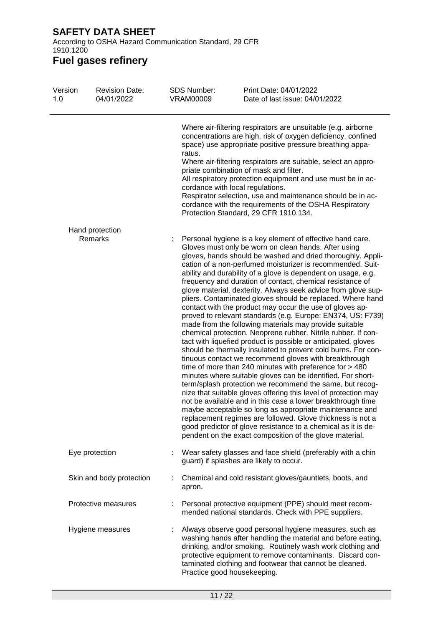According to OSHA Hazard Communication Standard, 29 CFR 1910.1200

| Version<br>1.0 | <b>Revision Date:</b><br>04/01/2022 | <b>SDS Number:</b><br><b>VRAM00009</b>     | Print Date: 04/01/2022<br>Date of last issue: 04/01/2022                                                                                                                                                                                                                                                                                                                                                                                                                                                                                                                                                                                                                                                                                                                                                                                                                                                                                                                                                                                                                                                                                                                                                                                                                                                                                                                                                                                                                                                                                     |
|----------------|-------------------------------------|--------------------------------------------|----------------------------------------------------------------------------------------------------------------------------------------------------------------------------------------------------------------------------------------------------------------------------------------------------------------------------------------------------------------------------------------------------------------------------------------------------------------------------------------------------------------------------------------------------------------------------------------------------------------------------------------------------------------------------------------------------------------------------------------------------------------------------------------------------------------------------------------------------------------------------------------------------------------------------------------------------------------------------------------------------------------------------------------------------------------------------------------------------------------------------------------------------------------------------------------------------------------------------------------------------------------------------------------------------------------------------------------------------------------------------------------------------------------------------------------------------------------------------------------------------------------------------------------------|
|                |                                     | ratus.<br>cordance with local regulations. | Where air-filtering respirators are unsuitable (e.g. airborne<br>concentrations are high, risk of oxygen deficiency, confined<br>space) use appropriate positive pressure breathing appa-<br>Where air-filtering respirators are suitable, select an appro-<br>priate combination of mask and filter.<br>All respiratory protection equipment and use must be in ac-<br>Respirator selection, use and maintenance should be in ac-<br>cordance with the requirements of the OSHA Respiratory<br>Protection Standard, 29 CFR 1910.134.                                                                                                                                                                                                                                                                                                                                                                                                                                                                                                                                                                                                                                                                                                                                                                                                                                                                                                                                                                                                        |
|                | Hand protection<br>Remarks          |                                            | Personal hygiene is a key element of effective hand care.<br>Gloves must only be worn on clean hands. After using<br>gloves, hands should be washed and dried thoroughly. Appli-<br>cation of a non-perfumed moisturizer is recommended. Suit-<br>ability and durability of a glove is dependent on usage, e.g.<br>frequency and duration of contact, chemical resistance of<br>glove material, dexterity. Always seek advice from glove sup-<br>pliers. Contaminated gloves should be replaced. Where hand<br>contact with the product may occur the use of gloves ap-<br>proved to relevant standards (e.g. Europe: EN374, US: F739)<br>made from the following materials may provide suitable<br>chemical protection. Neoprene rubber. Nitrile rubber. If con-<br>tact with liquefied product is possible or anticipated, gloves<br>should be thermally insulated to prevent cold burns. For con-<br>tinuous contact we recommend gloves with breakthrough<br>time of more than 240 minutes with preference for $>$ 480<br>minutes where suitable gloves can be identified. For short-<br>term/splash protection we recommend the same, but recog-<br>nize that suitable gloves offering this level of protection may<br>not be available and in this case a lower breakthrough time<br>maybe acceptable so long as appropriate maintenance and<br>replacement regimes are followed. Glove thickness is not a<br>good predictor of glove resistance to a chemical as it is de-<br>pendent on the exact composition of the glove material. |
|                | Eye protection                      |                                            | Wear safety glasses and face shield (preferably with a chin<br>guard) if splashes are likely to occur.                                                                                                                                                                                                                                                                                                                                                                                                                                                                                                                                                                                                                                                                                                                                                                                                                                                                                                                                                                                                                                                                                                                                                                                                                                                                                                                                                                                                                                       |
|                | Skin and body protection            | apron.                                     | Chemical and cold resistant gloves/gauntlets, boots, and                                                                                                                                                                                                                                                                                                                                                                                                                                                                                                                                                                                                                                                                                                                                                                                                                                                                                                                                                                                                                                                                                                                                                                                                                                                                                                                                                                                                                                                                                     |
|                | Protective measures                 |                                            | Personal protective equipment (PPE) should meet recom-<br>mended national standards. Check with PPE suppliers.                                                                                                                                                                                                                                                                                                                                                                                                                                                                                                                                                                                                                                                                                                                                                                                                                                                                                                                                                                                                                                                                                                                                                                                                                                                                                                                                                                                                                               |
|                | Hygiene measures                    | Practice good housekeeping.                | Always observe good personal hygiene measures, such as<br>washing hands after handling the material and before eating,<br>drinking, and/or smoking. Routinely wash work clothing and<br>protective equipment to remove contaminants. Discard con-<br>taminated clothing and footwear that cannot be cleaned.                                                                                                                                                                                                                                                                                                                                                                                                                                                                                                                                                                                                                                                                                                                                                                                                                                                                                                                                                                                                                                                                                                                                                                                                                                 |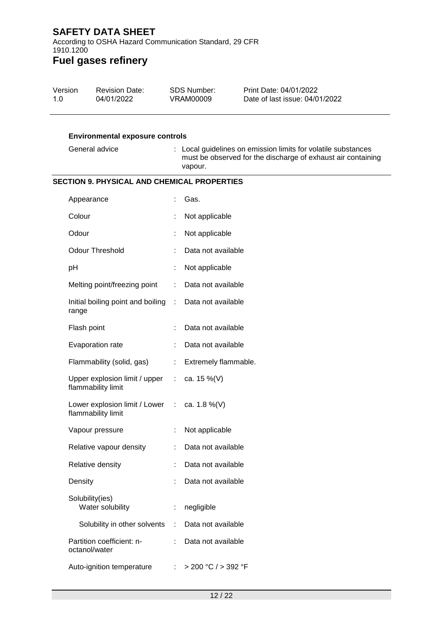According to OSHA Hazard Communication Standard, 29 CFR 1910.1200

| 1.0 | Version<br><b>Revision Date:</b><br>04/01/2022                     |                       | <b>SDS Number:</b><br><b>VRAM00009</b> | Print Date: 04/01/2022<br>Date of last issue: 04/01/2022                                                                      |
|-----|--------------------------------------------------------------------|-----------------------|----------------------------------------|-------------------------------------------------------------------------------------------------------------------------------|
|     | <b>Environmental exposure controls</b>                             |                       |                                        |                                                                                                                               |
|     | General advice                                                     |                       | vapour.                                | : Local guidelines on emission limits for volatile substances<br>must be observed for the discharge of exhaust air containing |
|     | <b>SECTION 9. PHYSICAL AND CHEMICAL PROPERTIES</b>                 |                       |                                        |                                                                                                                               |
|     | Appearance                                                         |                       | Gas.                                   |                                                                                                                               |
|     | Colour                                                             |                       | Not applicable                         |                                                                                                                               |
|     | Odour                                                              |                       | Not applicable                         |                                                                                                                               |
|     | <b>Odour Threshold</b>                                             |                       | Data not available                     |                                                                                                                               |
|     | pH                                                                 | t                     | Not applicable                         |                                                                                                                               |
|     | Melting point/freezing point                                       | ÷                     | Data not available                     |                                                                                                                               |
|     | Initial boiling point and boiling :<br>range                       |                       | Data not available                     |                                                                                                                               |
|     | Flash point                                                        |                       | Data not available                     |                                                                                                                               |
|     | Evaporation rate                                                   |                       | Data not available                     |                                                                                                                               |
|     | Flammability (solid, gas)                                          | $\mathbb{Z}^{\times}$ | Extremely flammable.                   |                                                                                                                               |
|     | Upper explosion limit / upper : ca. 15 %(V)<br>flammability limit  |                       |                                        |                                                                                                                               |
|     | Lower explosion limit / Lower : ca. 1.8 %(V)<br>flammability limit |                       |                                        |                                                                                                                               |
|     | Vapour pressure                                                    |                       | Not applicable                         |                                                                                                                               |
|     | Relative vapour density                                            |                       | Data not available                     |                                                                                                                               |
|     | Relative density                                                   |                       | Data not available                     |                                                                                                                               |
|     | Density                                                            |                       | Data not available                     |                                                                                                                               |
|     | Solubility(ies)<br>Water solubility                                |                       | negligible                             |                                                                                                                               |
|     | Solubility in other solvents                                       |                       | Data not available                     |                                                                                                                               |
|     | Partition coefficient: n-<br>octanol/water                         |                       | Data not available                     |                                                                                                                               |
|     | Auto-ignition temperature                                          | ÷                     | > 200 °C / > 392 °F                    |                                                                                                                               |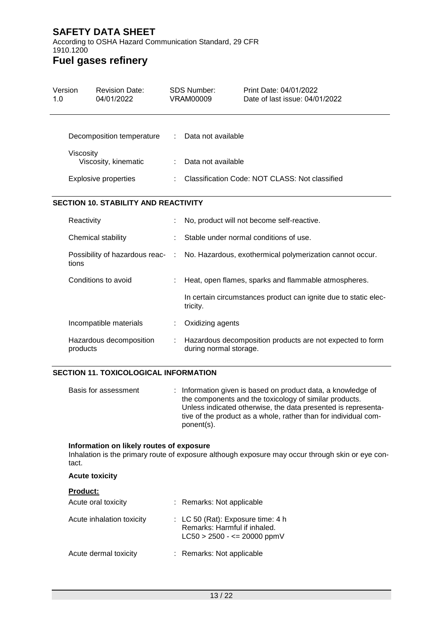According to OSHA Hazard Communication Standard, 29 CFR 1910.1200

### **Fuel gases refinery**

| Version<br>1.0 |            | <b>Revision Date:</b><br>04/01/2022         |   | <b>SDS Number:</b><br><b>VRAM00009</b>         | Print Date: 04/01/2022<br>Date of last issue: 04/01/2022        |  |  |
|----------------|------------|---------------------------------------------|---|------------------------------------------------|-----------------------------------------------------------------|--|--|
|                |            | Decomposition temperature                   | ÷ | Data not available                             |                                                                 |  |  |
|                | Viscosity  | Viscosity, kinematic                        |   | Data not available                             |                                                                 |  |  |
|                |            | <b>Explosive properties</b>                 |   | Classification Code: NOT CLASS: Not classified |                                                                 |  |  |
|                |            | <b>SECTION 10. STABILITY AND REACTIVITY</b> |   |                                                |                                                                 |  |  |
|                | Reactivity |                                             |   |                                                | No, product will not become self-reactive.                      |  |  |
|                |            | Chemical stability                          |   |                                                | Stable under normal conditions of use.                          |  |  |
|                | tions      | Possibility of hazardous reac- :            |   |                                                | No. Hazardous, exothermical polymerization cannot occur.        |  |  |
|                |            | Conditions to avoid                         |   |                                                | Heat, open flames, sparks and flammable atmospheres.            |  |  |
|                |            |                                             |   | tricity.                                       | In certain circumstances product can ignite due to static elec- |  |  |
|                |            | Incompatible materials                      |   | Oxidizing agents                               |                                                                 |  |  |
|                | products   | Hazardous decomposition                     |   | during normal storage.                         | Hazardous decomposition products are not expected to form       |  |  |

#### **SECTION 11. TOXICOLOGICAL INFORMATION**

| Basis for assessment | : Information given is based on product data, a knowledge of<br>the components and the toxicology of similar products.<br>Unless indicated otherwise, the data presented is representa-<br>tive of the product as a whole, rather than for individual com-<br>ponent(s). |
|----------------------|--------------------------------------------------------------------------------------------------------------------------------------------------------------------------------------------------------------------------------------------------------------------------|
|----------------------|--------------------------------------------------------------------------------------------------------------------------------------------------------------------------------------------------------------------------------------------------------------------------|

#### **Information on likely routes of exposure**

Inhalation is the primary route of exposure although exposure may occur through skin or eye contact.

#### **Acute toxicity**

| <b>Product:</b>           |                                                                                                                |
|---------------------------|----------------------------------------------------------------------------------------------------------------|
| Acute oral toxicity       | : Remarks: Not applicable                                                                                      |
| Acute inhalation toxicity | $\therefore$ LC 50 (Rat): Exposure time: 4 h<br>Remarks: Harmful if inhaled.<br>$LC50 > 2500 - \le 20000$ ppmV |
| Acute dermal toxicity     | : Remarks: Not applicable                                                                                      |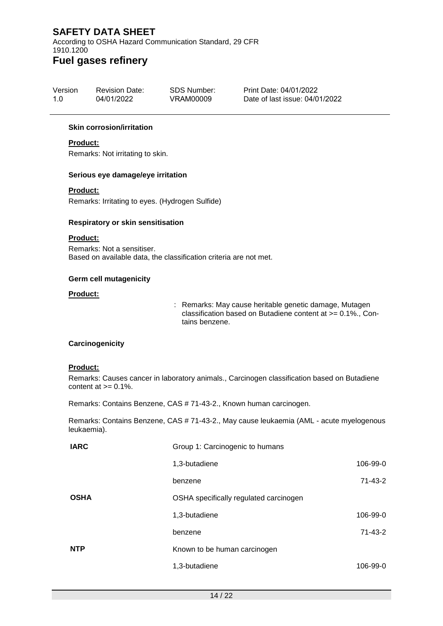According to OSHA Hazard Communication Standard, 29 CFR 1910.1200

### **Fuel gases refinery**

| Version | <b>Revision Date:</b> | SDS Number: | Print Date: 04/01/2022         |
|---------|-----------------------|-------------|--------------------------------|
| 1.0     | 04/01/2022            | VRAM00009   | Date of last issue: 04/01/2022 |

#### **Skin corrosion/irritation**

#### **Product:**

Remarks: Not irritating to skin.

#### **Serious eye damage/eye irritation**

#### **Product:**

Remarks: Irritating to eyes. (Hydrogen Sulfide)

#### **Respiratory or skin sensitisation**

#### **Product:**

Remarks: Not a sensitiser. Based on available data, the classification criteria are not met.

#### **Germ cell mutagenicity**

#### **Product:**

: Remarks: May cause heritable genetic damage, Mutagen classification based on Butadiene content at >= 0.1%., Contains benzene.

#### **Carcinogenicity**

#### **Product:**

Remarks: Causes cancer in laboratory animals., Carcinogen classification based on Butadiene content at  $>= 0.1\%$ .

Remarks: Contains Benzene, CAS # 71-43-2., Known human carcinogen.

Remarks: Contains Benzene, CAS # 71-43-2., May cause leukaemia (AML - acute myelogenous leukaemia).

| <b>IARC</b> | Group 1: Carcinogenic to humans        |               |
|-------------|----------------------------------------|---------------|
|             | 1,3-butadiene                          | 106-99-0      |
|             | benzene                                | $71 - 43 - 2$ |
| <b>OSHA</b> | OSHA specifically regulated carcinogen |               |
|             | 1,3-butadiene                          | 106-99-0      |
|             | benzene                                | $71 - 43 - 2$ |
| <b>NTP</b>  | Known to be human carcinogen           |               |
|             | 1,3-butadiene                          | 106-99-0      |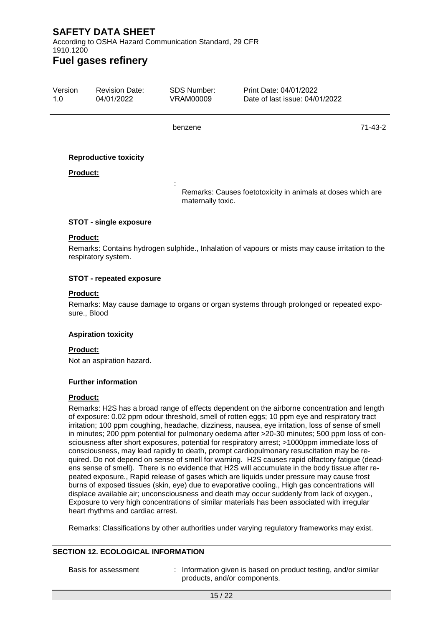According to OSHA Hazard Communication Standard, 29 CFR 1910.1200

### **Fuel gases refinery**

| Version<br>1.0  | <b>Revision Date:</b><br>04/01/2022 | SDS Number:<br>VRAM00009 | Print Date: 04/01/2022<br>Date of last issue: 04/01/2022                                         |         |
|-----------------|-------------------------------------|--------------------------|--------------------------------------------------------------------------------------------------|---------|
|                 |                                     | benzene                  |                                                                                                  | 71-43-2 |
|                 | <b>Reproductive toxicity</b>        |                          |                                                                                                  |         |
| <b>Product:</b> |                                     |                          |                                                                                                  |         |
|                 |                                     | maternally toxic.        | Remarks: Causes foetotoxicity in animals at doses which are                                      |         |
|                 | <b>STOT - single exposure</b>       |                          |                                                                                                  |         |
| <b>Product:</b> |                                     |                          | Remarks: Contains hydrogen sulphide., Inhalation of vapours or mists may cause irritation to the |         |

## respiratory system.

#### **STOT - repeated exposure**

#### **Product:**

Remarks: May cause damage to organs or organ systems through prolonged or repeated exposure., Blood

#### **Aspiration toxicity**

#### **Product:**

Not an aspiration hazard.

#### **Further information**

#### **Product:**

Remarks: H2S has a broad range of effects dependent on the airborne concentration and length of exposure: 0.02 ppm odour threshold, smell of rotten eggs; 10 ppm eye and respiratory tract irritation; 100 ppm coughing, headache, dizziness, nausea, eye irritation, loss of sense of smell in minutes; 200 ppm potential for pulmonary oedema after >20-30 minutes; 500 ppm loss of consciousness after short exposures, potential for respiratory arrest; >1000ppm immediate loss of consciousness, may lead rapidly to death, prompt cardiopulmonary resuscitation may be required. Do not depend on sense of smell for warning. H2S causes rapid olfactory fatigue (deadens sense of smell). There is no evidence that H2S will accumulate in the body tissue after repeated exposure., Rapid release of gases which are liquids under pressure may cause frost burns of exposed tissues (skin, eye) due to evaporative cooling., High gas concentrations will displace available air; unconsciousness and death may occur suddenly from lack of oxygen., Exposure to very high concentrations of similar materials has been associated with irregular heart rhythms and cardiac arrest.

Remarks: Classifications by other authorities under varying regulatory frameworks may exist.

#### **SECTION 12. ECOLOGICAL INFORMATION**

Basis for assessment : Information given is based on product testing, and/or similar products, and/or components.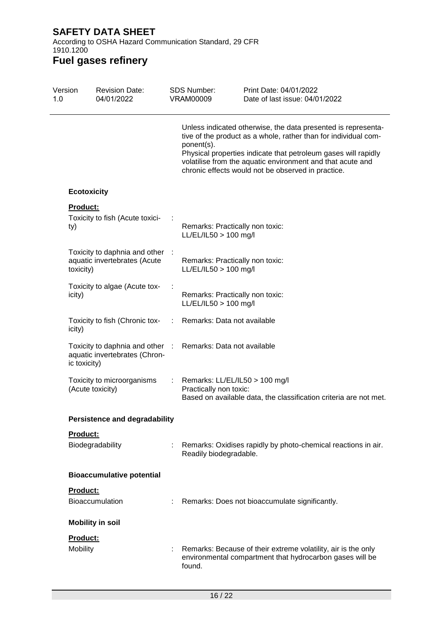According to OSHA Hazard Communication Standard, 29 CFR 1910.1200

| Version<br>1.0 |                    | <b>Revision Date:</b><br>04/01/2022                              |    | <b>SDS Number:</b><br><b>VRAM00009</b>                     | Print Date: 04/01/2022<br>Date of last issue: 04/01/2022                                                                                                                                                                                                                                                               |
|----------------|--------------------|------------------------------------------------------------------|----|------------------------------------------------------------|------------------------------------------------------------------------------------------------------------------------------------------------------------------------------------------------------------------------------------------------------------------------------------------------------------------------|
|                |                    |                                                                  |    | ponent(s).                                                 | Unless indicated otherwise, the data presented is representa-<br>tive of the product as a whole, rather than for individual com-<br>Physical properties indicate that petroleum gases will rapidly<br>volatilise from the aquatic environment and that acute and<br>chronic effects would not be observed in practice. |
|                |                    |                                                                  |    |                                                            |                                                                                                                                                                                                                                                                                                                        |
|                | <b>Ecotoxicity</b> |                                                                  |    |                                                            |                                                                                                                                                                                                                                                                                                                        |
|                | Product:<br>ty)    | Toxicity to fish (Acute toxici-                                  |    | Remarks: Practically non toxic:<br>LL/EL/IL50 > 100 mg/l   |                                                                                                                                                                                                                                                                                                                        |
|                | toxicity)          | Toxicity to daphnia and other :<br>aquatic invertebrates (Acute  |    | Remarks: Practically non toxic:<br>$LL/EL/IL50 > 100$ mg/l |                                                                                                                                                                                                                                                                                                                        |
|                | icity)             | Toxicity to algae (Acute tox-                                    |    | Remarks: Practically non toxic:<br>$LL/EL/IL50 > 100$ mg/l |                                                                                                                                                                                                                                                                                                                        |
|                | icity)             | Toxicity to fish (Chronic tox-                                   |    | Remarks: Data not available                                |                                                                                                                                                                                                                                                                                                                        |
|                | ic toxicity)       | Toxicity to daphnia and other :<br>aquatic invertebrates (Chron- |    | Remarks: Data not available                                |                                                                                                                                                                                                                                                                                                                        |
|                |                    | Toxicity to microorganisms<br>(Acute toxicity)                   | ÷. | Remarks: LL/EL/IL50 > 100 mg/l<br>Practically non toxic:   | Based on available data, the classification criteria are not met.                                                                                                                                                                                                                                                      |
|                |                    | <b>Persistence and degradability</b>                             |    |                                                            |                                                                                                                                                                                                                                                                                                                        |
|                | Product:           | Biodegradability                                                 |    | Readily biodegradable.                                     | Remarks: Oxidises rapidly by photo-chemical reactions in air.                                                                                                                                                                                                                                                          |
|                |                    | <b>Bioaccumulative potential</b>                                 |    |                                                            |                                                                                                                                                                                                                                                                                                                        |
|                | Product:           | Bioaccumulation                                                  |    |                                                            | Remarks: Does not bioaccumulate significantly.                                                                                                                                                                                                                                                                         |
|                |                    | <b>Mobility in soil</b>                                          |    |                                                            |                                                                                                                                                                                                                                                                                                                        |
|                | Product:           |                                                                  |    |                                                            |                                                                                                                                                                                                                                                                                                                        |
|                | Mobility           |                                                                  |    | found.                                                     | Remarks: Because of their extreme volatility, air is the only<br>environmental compartment that hydrocarbon gases will be                                                                                                                                                                                              |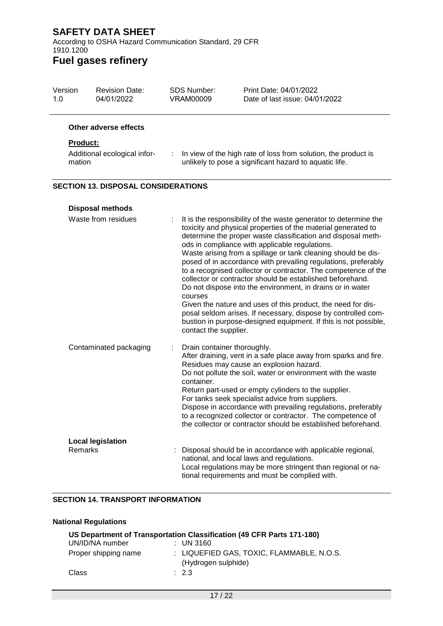According to OSHA Hazard Communication Standard, 29 CFR 1910.1200

### **Fuel gases refinery**

| Version<br>1.0  | <b>Revision Date:</b><br>04/01/2022        | <b>SDS Number:</b><br><b>VRAM00009</b> | Print Date: 04/01/2022<br>Date of last issue: 04/01/2022                                                                                                                                                                                                                                                                                                                                                                                                                                                                                                                                                                                                                                                                                                                                |
|-----------------|--------------------------------------------|----------------------------------------|-----------------------------------------------------------------------------------------------------------------------------------------------------------------------------------------------------------------------------------------------------------------------------------------------------------------------------------------------------------------------------------------------------------------------------------------------------------------------------------------------------------------------------------------------------------------------------------------------------------------------------------------------------------------------------------------------------------------------------------------------------------------------------------------|
|                 | Other adverse effects                      |                                        |                                                                                                                                                                                                                                                                                                                                                                                                                                                                                                                                                                                                                                                                                                                                                                                         |
| <b>Product:</b> |                                            |                                        |                                                                                                                                                                                                                                                                                                                                                                                                                                                                                                                                                                                                                                                                                                                                                                                         |
| mation          | Additional ecological infor-               | ÷.                                     | In view of the high rate of loss from solution, the product is<br>unlikely to pose a significant hazard to aquatic life.                                                                                                                                                                                                                                                                                                                                                                                                                                                                                                                                                                                                                                                                |
|                 | <b>SECTION 13. DISPOSAL CONSIDERATIONS</b> |                                        |                                                                                                                                                                                                                                                                                                                                                                                                                                                                                                                                                                                                                                                                                                                                                                                         |
|                 | <b>Disposal methods</b>                    |                                        |                                                                                                                                                                                                                                                                                                                                                                                                                                                                                                                                                                                                                                                                                                                                                                                         |
|                 | Waste from residues                        | courses<br>contact the supplier.       | It is the responsibility of the waste generator to determine the<br>toxicity and physical properties of the material generated to<br>determine the proper waste classification and disposal meth-<br>ods in compliance with applicable regulations.<br>Waste arising from a spillage or tank cleaning should be dis-<br>posed of in accordance with prevailing regulations, preferably<br>to a recognised collector or contractor. The competence of the<br>collector or contractor should be established beforehand.<br>Do not dispose into the environment, in drains or in water<br>Given the nature and uses of this product, the need for dis-<br>posal seldom arises. If necessary, dispose by controlled com-<br>bustion in purpose-designed equipment. If this is not possible, |

| Contaminated packaging   | : Drain container thoroughly.<br>After draining, vent in a safe place away from sparks and fire.<br>Residues may cause an explosion hazard.<br>Do not pollute the soil, water or environment with the waste                             |
|--------------------------|-----------------------------------------------------------------------------------------------------------------------------------------------------------------------------------------------------------------------------------------|
|                          | container.                                                                                                                                                                                                                              |
|                          | Return part-used or empty cylinders to the supplier.<br>For tanks seek specialist advice from suppliers.<br>Dispose in accordance with prevailing regulations, preferably<br>to a recognized collector or contractor. The competence of |
|                          | the collector or contractor should be established beforehand.                                                                                                                                                                           |
| <b>Local legislation</b> |                                                                                                                                                                                                                                         |
| <b>Remarks</b>           | : Disposal should be in accordance with applicable regional,<br>national, and local laws and regulations.<br>Local regulations may be more stringent than regional or na-                                                               |

tional requirements and must be complied with.

#### **SECTION 14. TRANSPORT INFORMATION**

#### **National Regulations**

| US Department of Transportation Classification (49 CFR Parts 171-180) |  |                                                                  |  |  |
|-----------------------------------------------------------------------|--|------------------------------------------------------------------|--|--|
| UN/ID/NA number                                                       |  | $\therefore$ UN 3160                                             |  |  |
| Proper shipping name                                                  |  | : LIQUEFIED GAS, TOXIC, FLAMMABLE, N.O.S.<br>(Hydrogen sulphide) |  |  |
| Class                                                                 |  | $\therefore$ 2.3                                                 |  |  |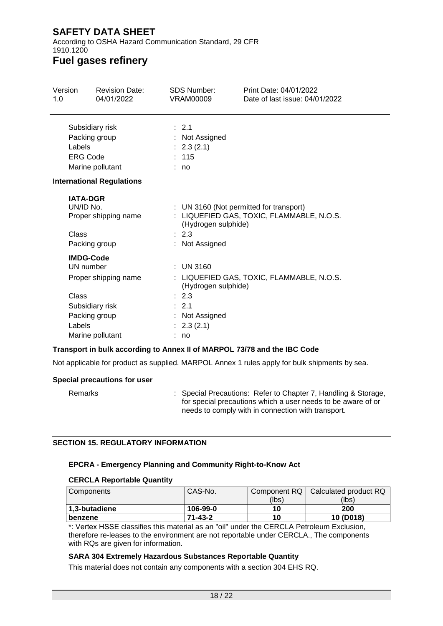According to OSHA Hazard Communication Standard, 29 CFR 1910.1200

### **Fuel gases refinery**

| Version<br>1.0 | <b>Revision Date:</b><br>04/01/2022 | <b>SDS Number:</b><br>VRAM00009         | Print Date: 04/01/2022<br>Date of last issue: 04/01/2022 |
|----------------|-------------------------------------|-----------------------------------------|----------------------------------------------------------|
|                | Subsidiary risk                     | : 2.1                                   |                                                          |
|                | Packing group                       | : Not Assigned                          |                                                          |
|                | Labels                              | : 2.3(2.1)                              |                                                          |
|                | <b>ERG Code</b>                     | : 115                                   |                                                          |
|                | Marine pollutant                    | : no                                    |                                                          |
|                | <b>International Regulations</b>    |                                         |                                                          |
|                | <b>IATA-DGR</b>                     |                                         |                                                          |
|                | UN/ID No.                           | : UN 3160 (Not permitted for transport) |                                                          |
|                | Proper shipping name                | (Hydrogen sulphide)                     | : LIQUEFIED GAS, TOXIC, FLAMMABLE, N.O.S.                |
|                | Class                               | : 2.3                                   |                                                          |
|                | Packing group                       | : Not Assigned                          |                                                          |
|                | <b>IMDG-Code</b>                    |                                         |                                                          |
|                | UN number                           | $:$ UN 3160                             |                                                          |
|                | Proper shipping name                | (Hydrogen sulphide)                     | : LIQUEFIED GAS, TOXIC, FLAMMABLE, N.O.S.                |
|                | Class                               | : 2.3                                   |                                                          |
|                | Subsidiary risk                     | : 2.1                                   |                                                          |
|                | Packing group                       | : Not Assigned                          |                                                          |
|                | Labels                              | : 2.3(2.1)                              |                                                          |
|                | Marine pollutant                    | no                                      |                                                          |

#### **Transport in bulk according to Annex II of MARPOL 73/78 and the IBC Code**

Not applicable for product as supplied. MARPOL Annex 1 rules apply for bulk shipments by sea.

#### **Special precautions for user**

Remarks : Special Precautions: Refer to Chapter 7, Handling & Storage, for special precautions which a user needs to be aware of or needs to comply with in connection with transport.

#### **SECTION 15. REGULATORY INFORMATION**

#### **EPCRA - Emergency Planning and Community Right-to-Know Act**

#### **CERCLA Reportable Quantity**

| Components    | CAS-No.       | Component RQ   Calculated product RQ |           |
|---------------|---------------|--------------------------------------|-----------|
|               |               | (lbs)                                | (lbs)     |
| 1,3-butadiene | 106-99-0      | 10                                   | 200       |
| l benzene     | $71 - 43 - 2$ | 10                                   | 10 (D018) |

\*: Vertex HSSE classifies this material as an "oil" under the CERCLA Petroleum Exclusion, therefore re-leases to the environment are not reportable under CERCLA., The components with RQs are given for information.

#### **SARA 304 Extremely Hazardous Substances Reportable Quantity**

This material does not contain any components with a section 304 EHS RQ.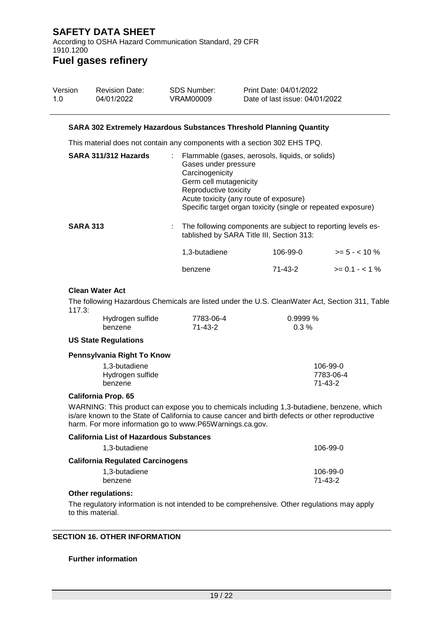According to OSHA Hazard Communication Standard, 29 CFR 1910.1200 **Fuel gases refinery**

#### Version 1.0 Revision Date: 04/01/2022 SDS Number: VRAM00009 Print Date: 04/01/2022 Date of last issue: 04/01/2022

#### **SARA 302 Extremely Hazardous Substances Threshold Planning Quantity**

This material does not contain any components with a section 302 EHS TPQ.

| SARA 311/312 Hazards | : Flammable (gases, aerosols, liquids, or solids)<br>Gases under pressure<br>Carcinogenicity<br>Germ cell mutagenicity<br>Reproductive toxicity<br>Acute toxicity (any route of exposure)<br>Specific target organ toxicity (single or repeated exposure) |          |                  |
|----------------------|-----------------------------------------------------------------------------------------------------------------------------------------------------------------------------------------------------------------------------------------------------------|----------|------------------|
| <b>SARA 313</b>      | : The following components are subject to reporting levels es-<br>tablished by SARA Title III, Section 313:                                                                                                                                               |          |                  |
|                      | 1,3-butadiene                                                                                                                                                                                                                                             | 106-99-0 | $>= 5 - < 10 \%$ |
|                      | benzene                                                                                                                                                                                                                                                   | 71-43-2  | $>= 0.1 - < 1\%$ |

#### **Clean Water Act**

The following Hazardous Chemicals are listed under the U.S. CleanWater Act, Section 311, Table 117.3:

| Hydrogen sulfide | 7783-06-4 | $0.9999\%$ |
|------------------|-----------|------------|
| benzene          | 71-43-2   | $0.3\%$    |

#### **US State Regulations**

#### **Pennsylvania Right To Know**

| 1.3-butadiene    | 106-99-0  |
|------------------|-----------|
| Hydrogen sulfide | 7783-06-4 |
| benzene          | 71-43-2   |

#### **California Prop. 65**

WARNING: This product can expose you to chemicals including 1,3-butadiene, benzene, which is/are known to the State of California to cause cancer and birth defects or other reproductive harm. For more information go to www.P65Warnings.ca.gov.

| <b>California List of Hazardous Substances</b> |                     |
|------------------------------------------------|---------------------|
| 1,3-butadiene                                  | 106-99-0            |
| <b>California Regulated Carcinogens</b>        |                     |
| 1,3-butadiene<br>benzene                       | 106-99-0<br>71-43-2 |

#### **Other regulations:**

The regulatory information is not intended to be comprehensive. Other regulations may apply to this material.

#### **SECTION 16. OTHER INFORMATION**

#### **Further information**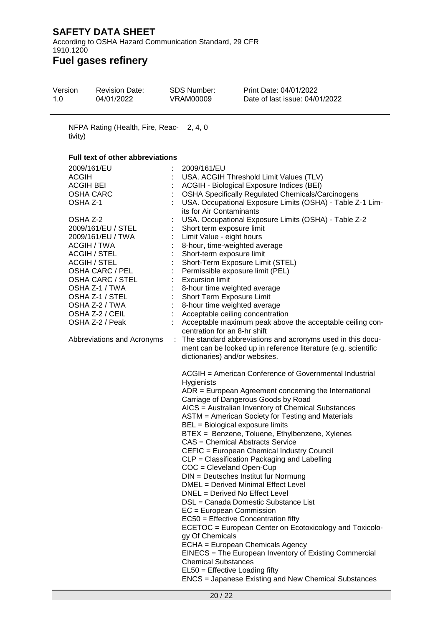According to OSHA Hazard Communication Standard, 29 CFR 1910.1200

### **Fuel gases refinery**

L,

| Version<br>1.0 | <b>Revision Date:</b><br>04/01/2022                                                                                                                                                                                                                                                                                                                   | <b>SDS Number:</b><br><b>VRAM00009</b>                                                                                                                                                                                         | Print Date: 04/01/2022<br>Date of last issue: 04/01/2022                                                                                                                                                                                                                                                                                                                                                                                                                                                                                                                                                                                                                                                                                                                                                                                                                                                                                                                                                                                                                                                                                                                                                                                                                                                                                                                                                                                                                                                                                                                                                                                                                                                                                               |
|----------------|-------------------------------------------------------------------------------------------------------------------------------------------------------------------------------------------------------------------------------------------------------------------------------------------------------------------------------------------------------|--------------------------------------------------------------------------------------------------------------------------------------------------------------------------------------------------------------------------------|--------------------------------------------------------------------------------------------------------------------------------------------------------------------------------------------------------------------------------------------------------------------------------------------------------------------------------------------------------------------------------------------------------------------------------------------------------------------------------------------------------------------------------------------------------------------------------------------------------------------------------------------------------------------------------------------------------------------------------------------------------------------------------------------------------------------------------------------------------------------------------------------------------------------------------------------------------------------------------------------------------------------------------------------------------------------------------------------------------------------------------------------------------------------------------------------------------------------------------------------------------------------------------------------------------------------------------------------------------------------------------------------------------------------------------------------------------------------------------------------------------------------------------------------------------------------------------------------------------------------------------------------------------------------------------------------------------------------------------------------------------|
| tivity)        | NFPA Rating (Health, Fire, Reac- 2, 4, 0                                                                                                                                                                                                                                                                                                              |                                                                                                                                                                                                                                |                                                                                                                                                                                                                                                                                                                                                                                                                                                                                                                                                                                                                                                                                                                                                                                                                                                                                                                                                                                                                                                                                                                                                                                                                                                                                                                                                                                                                                                                                                                                                                                                                                                                                                                                                        |
|                | <b>Full text of other abbreviations</b>                                                                                                                                                                                                                                                                                                               |                                                                                                                                                                                                                                |                                                                                                                                                                                                                                                                                                                                                                                                                                                                                                                                                                                                                                                                                                                                                                                                                                                                                                                                                                                                                                                                                                                                                                                                                                                                                                                                                                                                                                                                                                                                                                                                                                                                                                                                                        |
| <b>ACGIH</b>   | 2009/161/EU<br><b>ACGIH BEI</b><br><b>OSHA CARC</b><br>OSHA Z-1<br>OSHA Z-2<br>2009/161/EU / STEL<br>2009/161/EU / TWA<br>ACGIH / TWA<br><b>ACGIH / STEL</b><br><b>ACGIH / STEL</b><br>OSHA CARC / PEL<br>OSHA CARC / STEL<br>OSHA Z-1 / TWA<br>OSHA Z-1 / STEL<br>OSHA Z-2 / TWA<br>OSHA Z-2 / CEIL<br>OSHA Z-2 / Peak<br>Abbreviations and Acronyms | 2009/161/EU<br>its for Air Contaminants<br>Short term exposure limit<br>Limit Value - eight hours<br>Short-term exposure limit<br><b>Excursion limit</b><br><b>Hygienists</b><br>gy Of Chemicals<br><b>Chemical Substances</b> | USA. ACGIH Threshold Limit Values (TLV)<br>ACGIH - Biological Exposure Indices (BEI)<br><b>OSHA Specifically Regulated Chemicals/Carcinogens</b><br>USA. Occupational Exposure Limits (OSHA) - Table Z-1 Lim-<br>USA. Occupational Exposure Limits (OSHA) - Table Z-2<br>8-hour, time-weighted average<br>Short-Term Exposure Limit (STEL)<br>Permissible exposure limit (PEL)<br>8-hour time weighted average<br>Short Term Exposure Limit<br>8-hour time weighted average<br>Acceptable ceiling concentration<br>Acceptable maximum peak above the acceptable ceiling con-<br>centration for an 8-hr shift<br>: The standard abbreviations and acronyms used in this docu-<br>ment can be looked up in reference literature (e.g. scientific<br>dictionaries) and/or websites.<br>ACGIH = American Conference of Governmental Industrial<br>$ADR = European Agreement concerning the International$<br>Carriage of Dangerous Goods by Road<br>AICS = Australian Inventory of Chemical Substances<br>ASTM = American Society for Testing and Materials<br>BEL = Biological exposure limits<br>BTEX = Benzene, Toluene, Ethylbenzene, Xylenes<br><b>CAS</b> = Chemical Abstracts Service<br>CEFIC = European Chemical Industry Council<br>CLP = Classification Packaging and Labelling<br>COC = Cleveland Open-Cup<br>DIN = Deutsches Institut fur Normung<br><b>DMEL</b> = Derived Minimal Effect Level<br>DNEL = Derived No Effect Level<br>DSL = Canada Domestic Substance List<br>$EC = European Commission$<br>EC50 = Effective Concentration fifty<br>ECETOC = European Center on Ecotoxicology and Toxicolo-<br>ECHA = European Chemicals Agency<br>EINECS = The European Inventory of Existing Commercial<br>$EL50 = E$ ffective Loading fifty |
|                |                                                                                                                                                                                                                                                                                                                                                       |                                                                                                                                                                                                                                | <b>ENCS</b> = Japanese Existing and New Chemical Substances                                                                                                                                                                                                                                                                                                                                                                                                                                                                                                                                                                                                                                                                                                                                                                                                                                                                                                                                                                                                                                                                                                                                                                                                                                                                                                                                                                                                                                                                                                                                                                                                                                                                                            |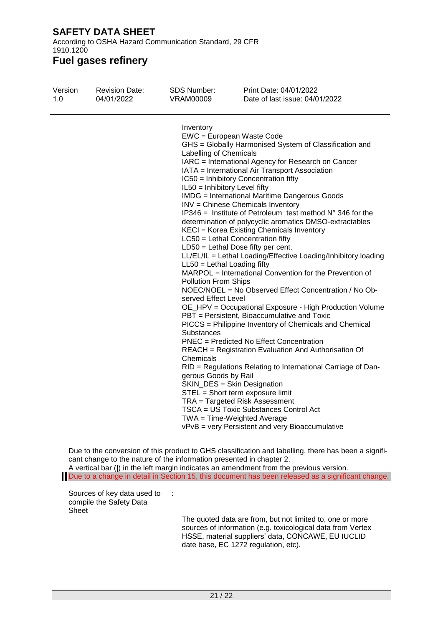According to OSHA Hazard Communication Standard, 29 CFR 1910.1200

### **Fuel gases refinery**

| Version<br>1.0 | <b>Revision Date:</b><br>04/01/2022 | <b>SDS Number:</b><br>VRAM00009                                                                                                                                                                                | Print Date: 04/01/2022<br>Date of last issue: 04/01/2022                                                                                                                                                                                                                                                                                                                                                                                                                                                                                                                                                                                                                                                                                                                                                                                                                                                                                                                                                                                                                                                                                                                                                                                                                                                                                                           |
|----------------|-------------------------------------|----------------------------------------------------------------------------------------------------------------------------------------------------------------------------------------------------------------|--------------------------------------------------------------------------------------------------------------------------------------------------------------------------------------------------------------------------------------------------------------------------------------------------------------------------------------------------------------------------------------------------------------------------------------------------------------------------------------------------------------------------------------------------------------------------------------------------------------------------------------------------------------------------------------------------------------------------------------------------------------------------------------------------------------------------------------------------------------------------------------------------------------------------------------------------------------------------------------------------------------------------------------------------------------------------------------------------------------------------------------------------------------------------------------------------------------------------------------------------------------------------------------------------------------------------------------------------------------------|
|                |                                     | Inventory<br>Labelling of Chemicals<br>IL50 = Inhibitory Level fifty<br>$LL50 = Lethal$ Loading fifty<br><b>Pollution From Ships</b><br>served Effect Level<br>Substances<br>Chemicals<br>gerous Goods by Rail | EWC = European Waste Code<br>GHS = Globally Harmonised System of Classification and<br>IARC = International Agency for Research on Cancer<br>IATA = International Air Transport Association<br>IC50 = Inhibitory Concentration fifty<br><b>IMDG</b> = International Maritime Dangerous Goods<br>INV = Chinese Chemicals Inventory<br>IP346 = Institute of Petroleum test method $N^{\circ}$ 346 for the<br>determination of polycyclic aromatics DMSO-extractables<br>KECI = Korea Existing Chemicals Inventory<br>LC50 = Lethal Concentration fifty<br>$LD50 = Lethal Does fifty per cent.$<br>LL/EL/IL = Lethal Loading/Effective Loading/Inhibitory loading<br>MARPOL = International Convention for the Prevention of<br>NOEC/NOEL = No Observed Effect Concentration / No Ob-<br>OE_HPV = Occupational Exposure - High Production Volume<br>PBT = Persistent, Bioaccumulative and Toxic<br>PICCS = Philippine Inventory of Chemicals and Chemical<br><b>PNEC</b> = Predicted No Effect Concentration<br>REACH = Registration Evaluation And Authorisation Of<br>RID = Regulations Relating to International Carriage of Dan-<br>SKIN_DES = Skin Designation<br>STEL = Short term exposure limit<br>TRA = Targeted Risk Assessment<br>TSCA = US Toxic Substances Control Act<br>TWA = Time-Weighted Average<br>vPvB = very Persistent and very Bioaccumulative |
|                |                                     | cant change to the nature of the information presented in chapter 2.                                                                                                                                           | Due to the conversion of this product to GHS classification and labelling, there has been a signifi-<br>A vertical bar ( ) in the left margin indicates an amendment from the previous version.                                                                                                                                                                                                                                                                                                                                                                                                                                                                                                                                                                                                                                                                                                                                                                                                                                                                                                                                                                                                                                                                                                                                                                    |

Due to a change in detail in Section 15, this document has been released as a significant change.

Sources of key data used to : compile the Safety Data Sheet

The quoted data are from, but not limited to, one or more sources of information (e.g. toxicological data from Vertex HSSE, material suppliers' data, CONCAWE, EU IUCLID date base, EC 1272 regulation, etc).